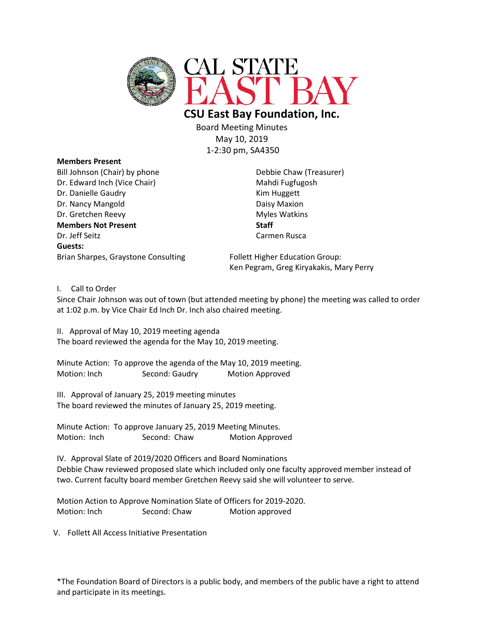

 **CSU East Bay Foundation, Inc.** 

Board Meeting Minutes May 10, 2019 1-2:30 pm, SA4350

**Members Present** Bill Johnson (Chair) by phone Debbie Chaw (Treasurer) Dr. Edward Inch (Vice Chair) Mahdi Fugfugosh Dr. Danielle Gaudry **Kim Huggett** Dr. Nancy Mangold Daisy Maxion Dr. Gretchen Reevy **Myles Watkins Members Not Present Staff** Dr. Jeff Seitz Carmen Rusca **Guests:** Brian Sharpes, Graystone Consulting Follett Higher Education Group:

Ken Pegram, Greg Kiryakakis, Mary Perry

I. Call to Order

Since Chair Johnson was out of town (but attended meeting by phone) the meeting was called to order at 1:02 p.m. by Vice Chair Ed Inch Dr. Inch also chaired meeting.

II. Approval of May 10, 2019 meeting agenda The board reviewed the agenda for the May 10, 2019 meeting.

Minute Action: To approve the agenda of the May 10, 2019 meeting. Motion: Inch Second: Gaudry Motion Approved

III. Approval of January 25, 2019 meeting minutes The board reviewed the minutes of January 25, 2019 meeting.

Minute Action: To approve January 25, 2019 Meeting Minutes. Motion: Inch Second: Chaw Motion Approved

IV. Approval Slate of 2019/2020 Officers and Board Nominations Debbie Chaw reviewed proposed slate which included only one faculty approved member instead of two. Current faculty board member Gretchen Reevy said she will volunteer to serve.

Motion Action to Approve Nomination Slate of Officers for 2019-2020. Motion: Inch Second: Chaw Motion approved

V. Follett All Access Initiative Presentation

\*The Foundation Board of Directors is a public body, and members of the public have a right to attend and participate in its meetings.